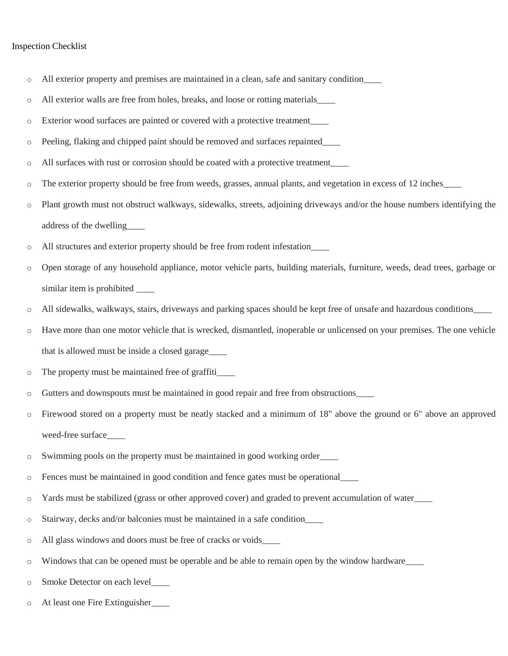## Inspection Checklist

- o All exterior property and premises are maintained in a clean, safe and sanitary condition\_\_\_\_
- o All exterior walls are free from holes, breaks, and loose or rotting materials\_\_\_\_
- o Exterior wood surfaces are painted or covered with a protective treatment\_\_\_\_
- o Peeling, flaking and chipped paint should be removed and surfaces repainted\_\_\_\_
- o All surfaces with rust or corrosion should be coated with a protective treatment\_\_\_\_
- o The exterior property should be free from weeds, grasses, annual plants, and vegetation in excess of 12 inches\_\_\_\_
- o Plant growth must not obstruct walkways, sidewalks, streets, adjoining driveways and/or the house numbers identifying the address of the dwelling\_\_\_\_
- o All structures and exterior property should be free from rodent infestation\_\_\_\_
- o Open storage of any household appliance, motor vehicle parts, building materials, furniture, weeds, dead trees, garbage or similar item is prohibited
- o All sidewalks, walkways, stairs, driveways and parking spaces should be kept free of unsafe and hazardous conditions\_\_\_\_
- o Have more than one motor vehicle that is wrecked, dismantled, inoperable or unlicensed on your premises. The one vehicle that is allowed must be inside a closed garage\_\_\_\_
- o The property must be maintained free of graffiti\_\_\_\_
- o Gutters and downspouts must be maintained in good repair and free from obstructions\_\_\_\_
- o Firewood stored on a property must be neatly stacked and a minimum of 18" above the ground or 6" above an approved weed-free surface
- o Swimming pools on the property must be maintained in good working order\_\_\_\_
- o Fences must be maintained in good condition and fence gates must be operational\_\_\_\_
- o Yards must be stabilized (grass or other approved cover) and graded to prevent accumulation of water\_\_\_\_
- o Stairway, decks and/or balconies must be maintained in a safe condition\_\_\_\_
- o All glass windows and doors must be free of cracks or voids\_\_\_\_
- o Windows that can be opened must be operable and be able to remain open by the window hardware\_\_\_\_
- o Smoke Detector on each level\_\_\_\_
- o At least one Fire Extinguisher\_\_\_\_